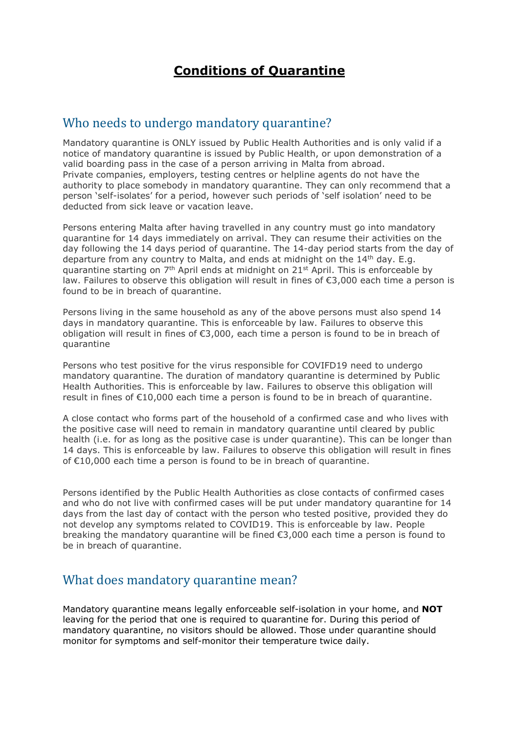# **Conditions of Quarantine**

#### Who needs to undergo mandatory quarantine?

Mandatory quarantine is ONLY issued by Public Health Authorities and is only valid if a notice of mandatory quarantine is issued by Public Health, or upon demonstration of a valid boarding pass in the case of a person arriving in Malta from abroad. Private companies, employers, testing centres or helpline agents do not have the authority to place somebody in mandatory quarantine. They can only recommend that a person 'self-isolates' for a period, however such periods of 'self isolation' need to be deducted from sick leave or vacation leave.

Persons entering Malta after having travelled in any country must go into mandatory quarantine for 14 days immediately on arrival. They can resume their activities on the day following the 14 days period of quarantine. The 14-day period starts from the day of departure from any country to Malta, and ends at midnight on the  $14<sup>th</sup>$  day. E.g. quarantine starting on 7<sup>th</sup> April ends at midnight on 21<sup>st</sup> April. This is enforceable by law. Failures to observe this obligation will result in fines of €3,000 each time a person is found to be in breach of quarantine.

Persons living in the same household as any of the above persons must also spend 14 days in mandatory quarantine. This is enforceable by law. Failures to observe this obligation will result in fines of €3,000, each time a person is found to be in breach of quarantine

Persons who test positive for the virus responsible for COVIFD19 need to undergo mandatory quarantine. The duration of mandatory quarantine is determined by Public Health Authorities. This is enforceable by law. Failures to observe this obligation will result in fines of €10,000 each time a person is found to be in breach of quarantine.

A close contact who forms part of the household of a confirmed case and who lives with the positive case will need to remain in mandatory quarantine until cleared by public health (i.e. for as long as the positive case is under quarantine). This can be longer than 14 days. This is enforceable by law. Failures to observe this obligation will result in fines of €10,000 each time a person is found to be in breach of quarantine.

Persons identified by the Public Health Authorities as close contacts of confirmed cases and who do not live with confirmed cases will be put under mandatory quarantine for 14 days from the last day of contact with the person who tested positive, provided they do not develop any symptoms related to COVID19. This is enforceable by law. People breaking the mandatory quarantine will be fined €3,000 each time a person is found to be in breach of quarantine.

#### What does mandatory quarantine mean?

Mandatory quarantine means legally enforceable self-isolation in your home, and **NOT** leaving for the period that one is required to quarantine for. During this period of mandatory quarantine, no visitors should be allowed. Those under quarantine should monitor for symptoms and self-monitor their temperature twice daily.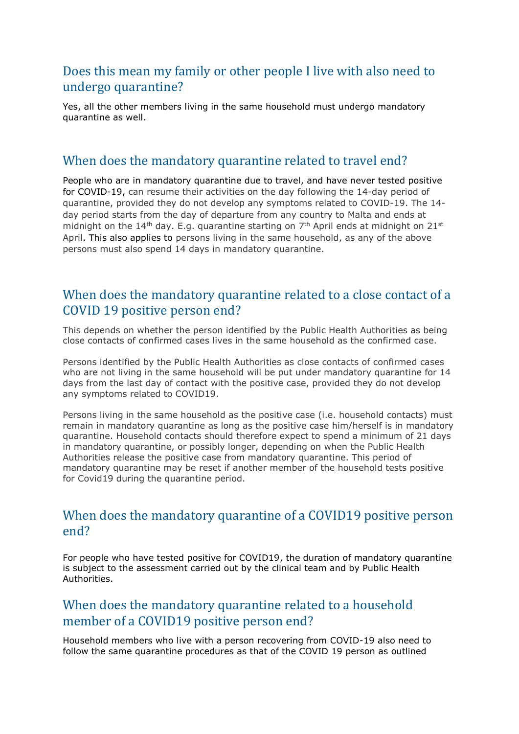## Does this mean my family or other people I live with also need to undergo quarantine?

Yes, all the other members living in the same household must undergo mandatory quarantine as well.

### When does the mandatory quarantine related to travel end?

People who are in mandatory quarantine due to travel, and have never tested positive for COVID-19, can resume their activities on the day following the 14-day period of quarantine, provided they do not develop any symptoms related to COVID-19. The 14 day period starts from the day of departure from any country to Malta and ends at midnight on the  $14<sup>th</sup>$  day. E.g. quarantine starting on  $7<sup>th</sup>$  April ends at midnight on  $21<sup>st</sup>$ April. This also applies to persons living in the same household, as any of the above persons must also spend 14 days in mandatory quarantine.

## When does the mandatory quarantine related to a close contact of a COVID 19 positive person end?

This depends on whether the person identified by the Public Health Authorities as being close contacts of confirmed cases lives in the same household as the confirmed case.

Persons identified by the Public Health Authorities as close contacts of confirmed cases who are not living in the same household will be put under mandatory quarantine for 14 days from the last day of contact with the positive case, provided they do not develop any symptoms related to COVID19.

Persons living in the same household as the positive case (i.e. household contacts) must remain in mandatory quarantine as long as the positive case him/herself is in mandatory quarantine. Household contacts should therefore expect to spend a minimum of 21 days in mandatory quarantine, or possibly longer, depending on when the Public Health Authorities release the positive case from mandatory quarantine. This period of mandatory quarantine may be reset if another member of the household tests positive for Covid19 during the quarantine period.

## When does the mandatory quarantine of a COVID19 positive person end?

For people who have tested positive for COVID19, the duration of mandatory quarantine is subject to the assessment carried out by the clinical team and by Public Health **Authorities** 

### When does the mandatory quarantine related to a household member of a COVID19 positive person end?

Household members who live with a person recovering from COVID-19 also need to follow the same quarantine procedures as that of the COVID 19 person as outlined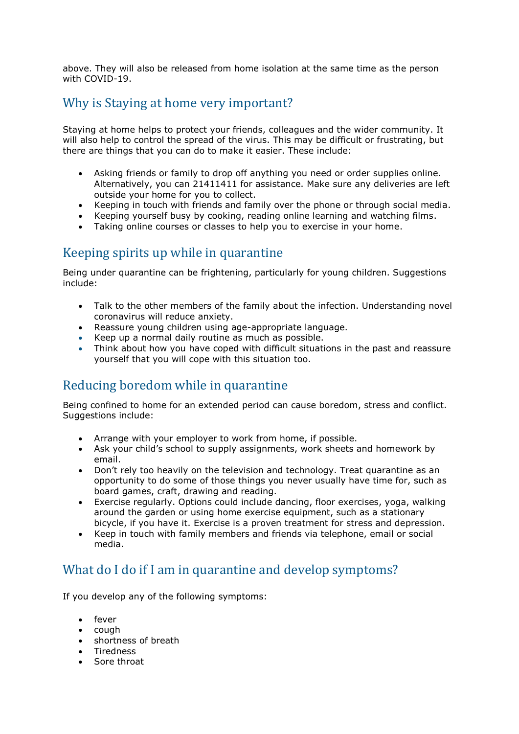above. They will also be released from home isolation at the same time as the person with COVID-19.

#### Why is Staying at home very important?

Staying at home helps to protect your friends, colleagues and the wider community. It will also help to control the spread of the virus. This may be difficult or frustrating, but there are things that you can do to make it easier. These include:

- Asking friends or family to drop off anything you need or order supplies online. Alternatively, you can 21411411 for assistance. Make sure any deliveries are left outside your home for you to collect.
- Keeping in touch with friends and family over the phone or through social media.
- Keeping yourself busy by cooking, reading online learning and watching films.
- Taking online courses or classes to help you to exercise in your home.

## Keeping spirits up while in quarantine

Being under quarantine can be frightening, particularly for young children. Suggestions include:

- Talk to the other members of the family about the infection. Understanding novel coronavirus will reduce anxiety.
- Reassure young children using age-appropriate language.
- Keep up a normal daily routine as much as possible.
- Think about how you have coped with difficult situations in the past and reassure yourself that you will cope with this situation too.

## Reducing boredom while in quarantine

Being confined to home for an extended period can cause boredom, stress and conflict. Suggestions include:

- Arrange with your employer to work from home, if possible.
- Ask your child's school to supply assignments, work sheets and homework by email.
- Don't rely too heavily on the television and technology. Treat quarantine as an opportunity to do some of those things you never usually have time for, such as board games, craft, drawing and reading.
- Exercise regularly. Options could include dancing, floor exercises, yoga, walking around the garden or using home exercise equipment, such as a stationary bicycle, if you have it. Exercise is a proven treatment for stress and depression.
- Keep in touch with family members and friends via telephone, email or social media.

#### What do I do if I am in quarantine and develop symptoms?

If you develop any of the following symptoms:

- fever
- cough
- shortness of breath
- Tiredness
- Sore throat